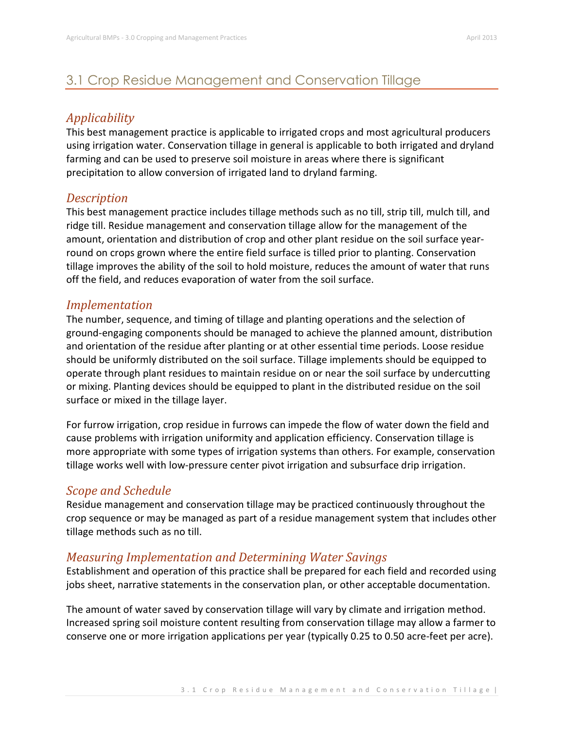# 3.1 Crop Residue Management and Conservation Tillage

## *Applicability*

This best management practice is applicable to irrigated crops and most agricultural producers using irrigation water. Conservation tillage in general is applicable to both irrigated and dryland farming and can be used to preserve soil moisture in areas where there is significant precipitation to allow conversion of irrigated land to dryland farming.

#### *Description*

This best management practice includes tillage methods such as no till, strip till, mulch till, and ridge till. Residue management and conservation tillage allow for the management of the amount, orientation and distribution of crop and other plant residue on the soil surface yearround on crops grown where the entire field surface is tilled prior to planting. Conservation tillage improves the ability of the soil to hold moisture, reduces the amount of water that runs off the field, and reduces evaporation of water from the soil surface.

### *Implementation*

The number, sequence, and timing of tillage and planting operations and the selection of ground-engaging components should be managed to achieve the planned amount, distribution and orientation of the residue after planting or at other essential time periods. Loose residue should be uniformly distributed on the soil surface. Tillage implements should be equipped to operate through plant residues to maintain residue on or near the soil surface by undercutting or mixing. Planting devices should be equipped to plant in the distributed residue on the soil surface or mixed in the tillage layer.

For furrow irrigation, crop residue in furrows can impede the flow of water down the field and cause problems with irrigation uniformity and application efficiency. Conservation tillage is more appropriate with some types of irrigation systems than others. For example, conservation tillage works well with low-pressure center pivot irrigation and subsurface drip irrigation.

## *Scope and Schedule*

Residue management and conservation tillage may be practiced continuously throughout the crop sequence or may be managed as part of a residue management system that includes other tillage methods such as no till.

## *Measuring Implementation and Determining Water Savings*

Establishment and operation of this practice shall be prepared for each field and recorded using jobs sheet, narrative statements in the conservation plan, or other acceptable documentation.

The amount of water saved by conservation tillage will vary by climate and irrigation method. Increased spring soil moisture content resulting from conservation tillage may allow a farmer to conserve one or more irrigation applications per year (typically 0.25 to 0.50 acre-feet per acre).